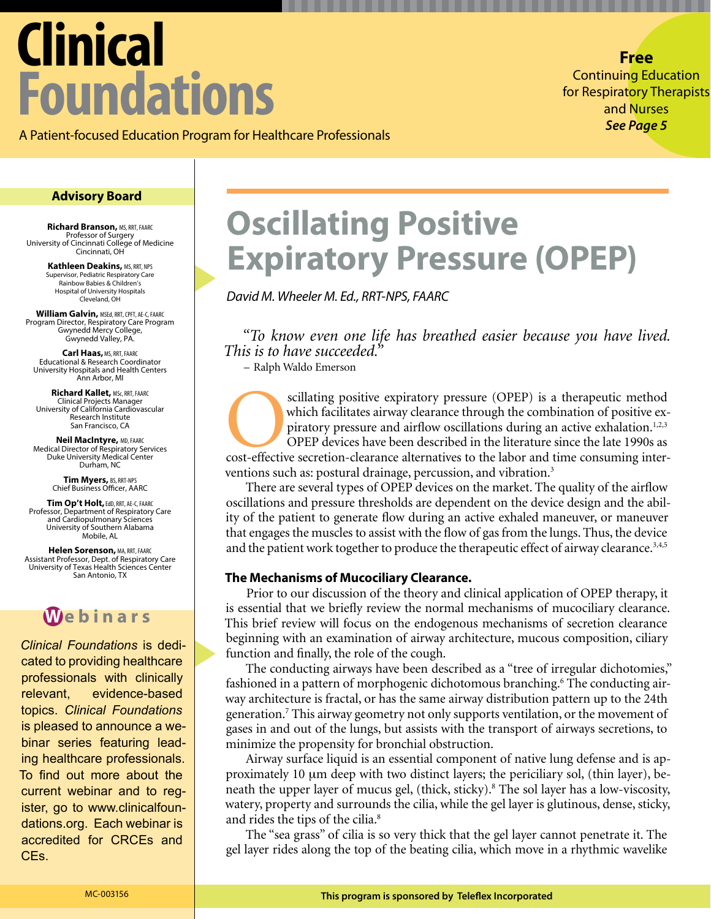# **Clinical Foundations**

**Free**  Continuing Education for Respiratory Therapists and Nurses *See Page 5*

A Patient-focused Education Program for Healthcare Professionals

#### **Advisory Board**

**Richard Branson,** MS, RRT, FAARC Professor of Surgery University of Cincinnati College of Medicine Cincinnati, OH

> **Kathleen Deakins,** MS, RRT, NPS Supervisor, Pediatric Respiratory Care Rainbow Babies & Children's Hospital of University Hospitals Cleveland, OH

**William Galvin,** MSEd, RRT, CPFT, AE-C, FAARC Program Director, Respiratory Care Program Gwynedd Mercy College, Gwynedd Valley, PA.

**Carl Haas,**MS, RRT, FAARC Educational & Research Coordinator University Hospitals and Health Centers Ann Arbor, MI

**Richard Kallet,** MSc, RRT, FAARC Clinical Projects Manager University of California Cardiovascular Research Institute San Francisco, CA

**Neil MacIntyre,** MD, FAARC Medical Director of Respiratory Services Duke University Medical Center Durham, NC

**Tim Myers, BS, RRT-NPS**<br>Chief Business Officer, AARC

**Tim Op't Holt,**EdD, RRT, AE-C, FAARC Professor, Department of Respiratory Care and Cardiopulmonary Sciences University of Southern Alabama Mobile, AL

**Helen Sorenson,** MA, RRT, FAARC Assistant Professor, Dept. of Respiratory Care University of Texas Health Sciences Center San Antonio, TX

### **W ebinars**

*Clinical Foundations* is dedicated to providing healthcare professionals with clinically relevant, evidence-based topics. *Clinical Foundations* is pleased to announce a webinar series featuring leading healthcare professionals. To find out more about the current webinar and to register, go to www.clinicalfoundations.org. Each webinar is accredited for CRCEs and CEs.

## **Oscillating Positive Expiratory Pressure (OPEP)**

*David M. Wheeler M. Ed., RRT-NPS, FAARC*

*"To know even one life has breathed easier because you have lived. This is to have succeeded."* 

– Ralph Waldo Emerson

scillating positive expiratory pressure (OPEP) is a therapeutic method which facilitates airway clearance through the combination of positive expiratory pressure and airflow oscillations during an active exhalation.<sup>1,2,3</sup> which facilitates airway clearance through the combination of positive expiratory pressure and airflow oscillations during an active exhalation.<sup>1,2,3</sup> OPEP devices have been described in the literature since the late 1990s as ventions such as: postural drainage, percussion, and vibration.<sup>3</sup>

There are several types of OPEP devices on the market. The quality of the airflow oscillations and pressure thresholds are dependent on the device design and the ability of the patient to generate flow during an active exhaled maneuver, or maneuver that engages the muscles to assist with the flow of gas from the lungs. Thus, the device and the patient work together to produce the therapeutic effect of airway clearance.3,4,5

#### **The Mechanisms of Mucociliary Clearance.**

Prior to our discussion of the theory and clinical application of OPEP therapy, it is essential that we briefly review the normal mechanisms of mucociliary clearance. This brief review will focus on the endogenous mechanisms of secretion clearance beginning with an examination of airway architecture, mucous composition, ciliary function and finally, the role of the cough.

The conducting airways have been described as a "tree of irregular dichotomies," fashioned in a pattern of morphogenic dichotomous branching.<sup>6</sup> The conducting airway architecture is fractal, or has the same airway distribution pattern up to the 24th generation.7 This airway geometry not only supports ventilation, or the movement of gases in and out of the lungs, but assists with the transport of airways secretions, to minimize the propensity for bronchial obstruction.

Airway surface liquid is an essential component of native lung defense and is approximately 10 μm deep with two distinct layers; the periciliary sol, (thin layer), beneath the upper layer of mucus gel, (thick, sticky).<sup>8</sup> The sol layer has a low-viscosity, watery, property and surrounds the cilia, while the gel layer is glutinous, dense, sticky, and rides the tips of the cilia.<sup>8</sup>

The "sea grass" of cilia is so very thick that the gel layer cannot penetrate it. The gel layer rides along the top of the beating cilia, which move in a rhythmic wavelike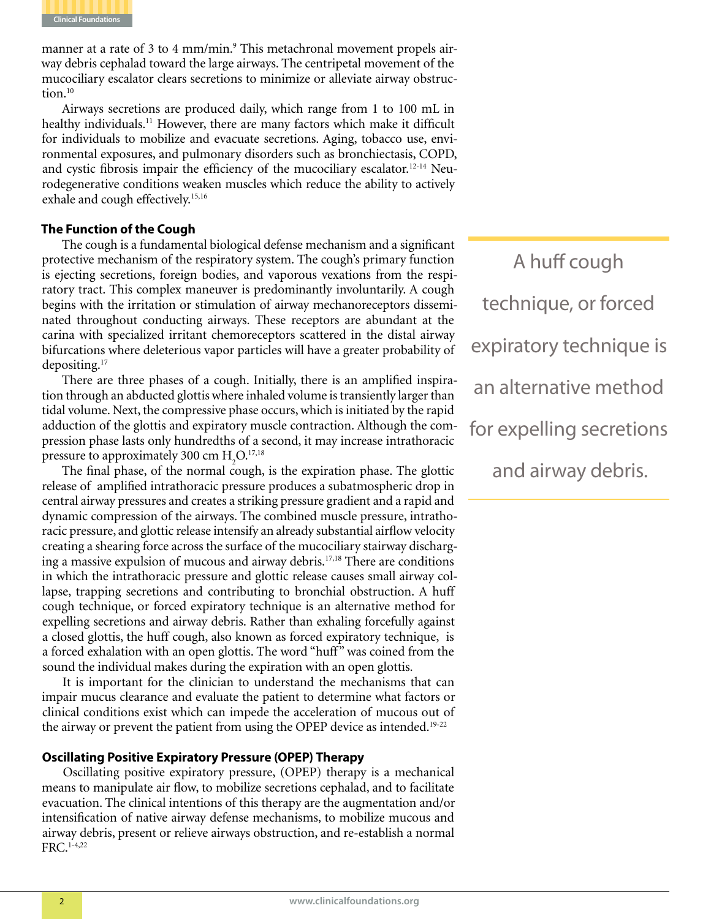

manner at a rate of 3 to 4 mm/min.<sup>9</sup> This metachronal movement propels airway debris cephalad toward the large airways. The centripetal movement of the mucociliary escalator clears secretions to minimize or alleviate airway obstruction.<sup>10</sup>

Airways secretions are produced daily, which range from 1 to 100 mL in healthy individuals.<sup>11</sup> However, there are many factors which make it difficult for individuals to mobilize and evacuate secretions. Aging, tobacco use, environmental exposures, and pulmonary disorders such as bronchiectasis, COPD, and cystic fibrosis impair the efficiency of the mucociliary escalator.12-14 Neurodegenerative conditions weaken muscles which reduce the ability to actively exhale and cough effectively.<sup>15,16</sup>

#### **The Function of the Cough**

The cough is a fundamental biological defense mechanism and a significant protective mechanism of the respiratory system. The cough's primary function is ejecting secretions, foreign bodies, and vaporous vexations from the respiratory tract. This complex maneuver is predominantly involuntarily. A cough begins with the irritation or stimulation of airway mechanoreceptors disseminated throughout conducting airways. These receptors are abundant at the carina with specialized irritant chemoreceptors scattered in the distal airway bifurcations where deleterious vapor particles will have a greater probability of depositing.17

There are three phases of a cough. Initially, there is an amplified inspiration through an abducted glottis where inhaled volume is transiently larger than tidal volume. Next, the compressive phase occurs, which is initiated by the rapid adduction of the glottis and expiratory muscle contraction. Although the compression phase lasts only hundredths of a second, it may increase intrathoracic pressure to approximately 300 cm  $H_2O$ .<sup>17,18</sup>

The final phase, of the normal cough, is the expiration phase. The glottic release of amplified intrathoracic pressure produces a subatmospheric drop in central airway pressures and creates a striking pressure gradient and a rapid and dynamic compression of the airways. The combined muscle pressure, intrathoracic pressure, and glottic release intensify an already substantial airflow velocity creating a shearing force across the surface of the mucociliary stairway discharging a massive expulsion of mucous and airway debris.17,18 There are conditions in which the intrathoracic pressure and glottic release causes small airway collapse, trapping secretions and contributing to bronchial obstruction. A huff cough technique, or forced expiratory technique is an alternative method for expelling secretions and airway debris. Rather than exhaling forcefully against a closed glottis, the huff cough, also known as forced expiratory technique, is a forced exhalation with an open glottis. The word "huff" was coined from the sound the individual makes during the expiration with an open glottis.

It is important for the clinician to understand the mechanisms that can impair mucus clearance and evaluate the patient to determine what factors or clinical conditions exist which can impede the acceleration of mucous out of the airway or prevent the patient from using the OPEP device as intended.<sup>19-22</sup>

#### **Oscillating Positive Expiratory Pressure (OPEP) Therapy**

Oscillating positive expiratory pressure, (OPEP) therapy is a mechanical means to manipulate air flow, to mobilize secretions cephalad, and to facilitate evacuation. The clinical intentions of this therapy are the augmentation and/or intensification of native airway defense mechanisms, to mobilize mucous and airway debris, present or relieve airways obstruction, and re-establish a normal FRC.1-4,22

A huff cough technique, or forced expiratory technique is an alternative method for expelling secretions and airway debris.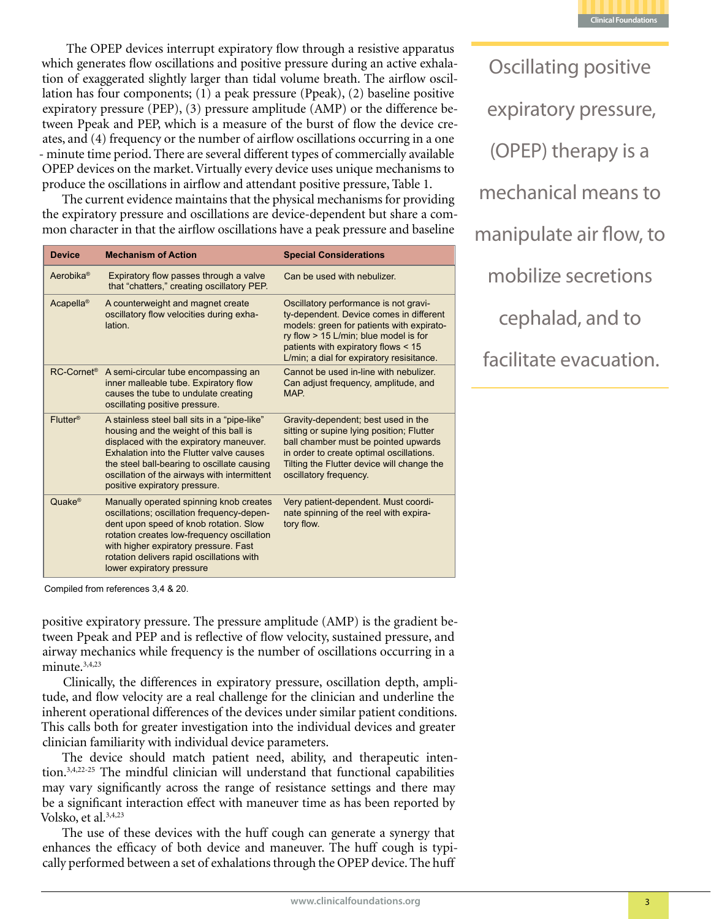

 The OPEP devices interrupt expiratory flow through a resistive apparatus which generates flow oscillations and positive pressure during an active exhalation of exaggerated slightly larger than tidal volume breath. The airflow oscillation has four components; (1) a peak pressure (Ppeak), (2) baseline positive expiratory pressure (PEP), (3) pressure amplitude (AMP) or the difference between Ppeak and PEP, which is a measure of the burst of flow the device creates, and (4) frequency or the number of airflow oscillations occurring in a one - minute time period. There are several different types of commercially available OPEP devices on the market. Virtually every device uses unique mechanisms to produce the oscillations in airflow and attendant positive pressure, Table 1.

The current evidence maintains that the physical mechanisms for providing the expiratory pressure and oscillations are device-dependent but share a common character in that the airflow oscillations have a peak pressure and baseline

| <b>Device</b>          | <b>Mechanism of Action</b>                                                                                                                                                                                                                                                                                    | <b>Special Considerations</b>                                                                                                                                                                                                                              |
|------------------------|---------------------------------------------------------------------------------------------------------------------------------------------------------------------------------------------------------------------------------------------------------------------------------------------------------------|------------------------------------------------------------------------------------------------------------------------------------------------------------------------------------------------------------------------------------------------------------|
| Aerobika <sup>®</sup>  | Expiratory flow passes through a valve<br>that "chatters," creating oscillatory PEP.                                                                                                                                                                                                                          | Can be used with nebulizer.                                                                                                                                                                                                                                |
| Acapella <sup>®</sup>  | A counterweight and magnet create<br>oscillatory flow velocities during exha-<br>lation                                                                                                                                                                                                                       | Oscillatory performance is not gravi-<br>ty-dependent. Device comes in different<br>models: green for patients with expirato-<br>ry flow > 15 L/min; blue model is for<br>patients with expiratory flows < 15<br>L/min; a dial for expiratory resisitance. |
| RC-Cornet <sup>®</sup> | A semi-circular tube encompassing an<br>inner malleable tube. Expiratory flow<br>causes the tube to undulate creating<br>oscillating positive pressure.                                                                                                                                                       | Cannot be used in-line with nebulizer.<br>Can adjust frequency, amplitude, and<br>MAP.                                                                                                                                                                     |
| Flutter <sup>®</sup>   | A stainless steel ball sits in a "pipe-like"<br>housing and the weight of this ball is<br>displaced with the expiratory maneuver.<br>Exhalation into the Flutter valve causes<br>the steel ball-bearing to oscillate causing<br>oscillation of the airways with intermittent<br>positive expiratory pressure. | Gravity-dependent; best used in the<br>sitting or supine lying position; Flutter<br>ball chamber must be pointed upwards<br>in order to create optimal oscillations.<br>Tilting the Flutter device will change the<br>oscillatory frequency.               |
| Quake <sup>®</sup>     | Manually operated spinning knob creates<br>oscillations; oscillation frequency-depen-<br>dent upon speed of knob rotation. Slow<br>rotation creates low-frequency oscillation<br>with higher expiratory pressure. Fast<br>rotation delivers rapid oscillations with<br>lower expiratory pressure              | Very patient-dependent. Must coordi-<br>nate spinning of the reel with expira-<br>tory flow.                                                                                                                                                               |

expiratory pressure, (OPEP) therapy is a mechanical means to manipulate air flow, to mobilize secretions cephalad, and to facilitate evacuation.

Oscillating positive

Compiled from references 3,4 & 20.

positive expiratory pressure. The pressure amplitude (AMP) is the gradient between Ppeak and PEP and is reflective of flow velocity, sustained pressure, and airway mechanics while frequency is the number of oscillations occurring in a minute.<sup>3,4,23</sup>

Clinically, the differences in expiratory pressure, oscillation depth, amplitude, and flow velocity are a real challenge for the clinician and underline the inherent operational differences of the devices under similar patient conditions. This calls both for greater investigation into the individual devices and greater clinician familiarity with individual device parameters.

The device should match patient need, ability, and therapeutic intention.3,4,22-25 The mindful clinician will understand that functional capabilities may vary significantly across the range of resistance settings and there may be a significant interaction effect with maneuver time as has been reported by Volsko, et al.3,4,23

The use of these devices with the huff cough can generate a synergy that enhances the efficacy of both device and maneuver. The huff cough is typically performed between a set of exhalations through the OPEP device. The huff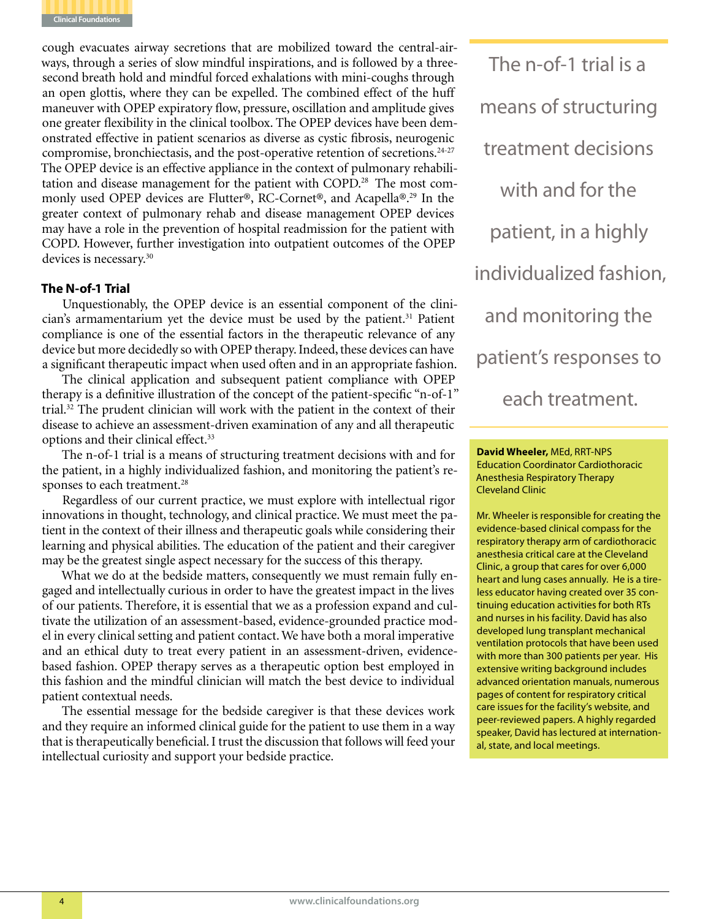

cough evacuates airway secretions that are mobilized toward the central-airways, through a series of slow mindful inspirations, and is followed by a threesecond breath hold and mindful forced exhalations with mini-coughs through an open glottis, where they can be expelled. The combined effect of the huff maneuver with OPEP expiratory flow, pressure, oscillation and amplitude gives one greater flexibility in the clinical toolbox. The OPEP devices have been demonstrated effective in patient scenarios as diverse as cystic fibrosis, neurogenic compromise, bronchiectasis, and the post-operative retention of secretions.<sup>24-27</sup> The OPEP device is an effective appliance in the context of pulmonary rehabilitation and disease management for the patient with COPD.<sup>28</sup> The most commonly used OPEP devices are Flutter®, RC-Cornet®, and Acapella®.29 In the greater context of pulmonary rehab and disease management OPEP devices may have a role in the prevention of hospital readmission for the patient with COPD. However, further investigation into outpatient outcomes of the OPEP devices is necessary.30

#### **The N-of-1 Trial**

Unquestionably, the OPEP device is an essential component of the clinician's armamentarium yet the device must be used by the patient.<sup>31</sup> Patient compliance is one of the essential factors in the therapeutic relevance of any device but more decidedly so with OPEP therapy. Indeed, these devices can have a significant therapeutic impact when used often and in an appropriate fashion.

The clinical application and subsequent patient compliance with OPEP therapy is a definitive illustration of the concept of the patient-specific "n-of-1" trial.32 The prudent clinician will work with the patient in the context of their disease to achieve an assessment-driven examination of any and all therapeutic options and their clinical effect.<sup>33</sup>

The n-of-1 trial is a means of structuring treatment decisions with and for the patient, in a highly individualized fashion, and monitoring the patient's responses to each treatment.<sup>28</sup>

Regardless of our current practice, we must explore with intellectual rigor innovations in thought, technology, and clinical practice. We must meet the patient in the context of their illness and therapeutic goals while considering their learning and physical abilities. The education of the patient and their caregiver may be the greatest single aspect necessary for the success of this therapy.

What we do at the bedside matters, consequently we must remain fully engaged and intellectually curious in order to have the greatest impact in the lives of our patients. Therefore, it is essential that we as a profession expand and cultivate the utilization of an assessment-based, evidence-grounded practice model in every clinical setting and patient contact. We have both a moral imperative and an ethical duty to treat every patient in an assessment-driven, evidencebased fashion. OPEP therapy serves as a therapeutic option best employed in this fashion and the mindful clinician will match the best device to individual patient contextual needs.

The essential message for the bedside caregiver is that these devices work and they require an informed clinical guide for the patient to use them in a way that is therapeutically beneficial. I trust the discussion that follows will feed your intellectual curiosity and support your bedside practice.

The n-of-1 trial is a means of structuring treatment decisions with and for the patient, in a highly individualized fashion, and monitoring the patient's responses to each treatment.

**David Wheeler,** MEd, RRT-NPS Education Coordinator Cardiothoracic Anesthesia Respiratory Therapy Cleveland Clinic

Mr. Wheeler is responsible for creating the evidence-based clinical compass for the respiratory therapy arm of cardiothoracic anesthesia critical care at the Cleveland Clinic, a group that cares for over 6,000 heart and lung cases annually. He is a tireless educator having created over 35 continuing education activities for both RTs and nurses in his facility. David has also developed lung transplant mechanical ventilation protocols that have been used with more than 300 patients per year. His extensive writing background includes advanced orientation manuals, numerous pages of content for respiratory critical care issues for the facility's website, and peer-reviewed papers. A highly regarded speaker, David has lectured at international, state, and local meetings.